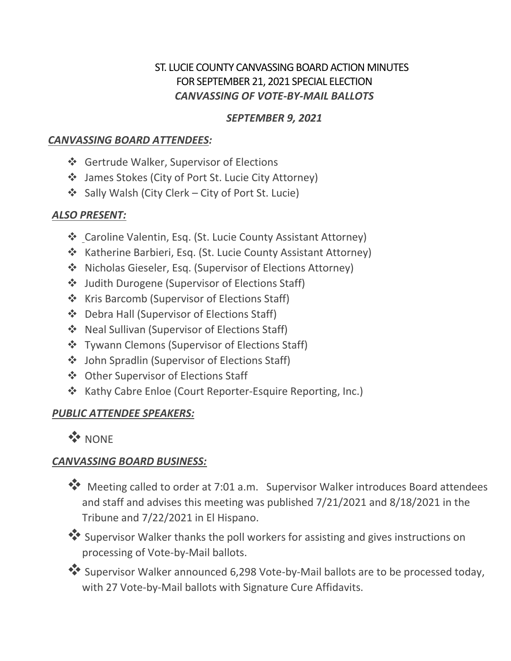### ST. LUCIE COUNTY CANVASSING BOARD ACTION MINUTES FOR SEPTEMBER 21, 2021 SPECIAL ELECTION *CANVASSING OF VOTE-BY-MAIL BALLOTS*

### *SEPTEMBER 9, 2021*

### *CANVASSING BOARD ATTENDEES:*

- ❖ Gertrude Walker, Supervisor of Elections
- James Stokes (City of Port St. Lucie City Attorney)
- Sally Walsh (City Clerk City of Port St. Lucie)

# *ALSO PRESENT:*

- Caroline Valentin, Esq. (St. Lucie County Assistant Attorney)
- \* Katherine Barbieri, Esq. (St. Lucie County Assistant Attorney)
- Nicholas Gieseler, Esq. (Supervisor of Elections Attorney)
- Judith Durogene (Supervisor of Elections Staff)
- ❖ Kris Barcomb (Supervisor of Elections Staff)
- ❖ Debra Hall (Supervisor of Elections Staff)
- ❖ Neal Sullivan (Supervisor of Elections Staff)
- ❖ Tywann Clemons (Supervisor of Elections Staff)
- John Spradlin (Supervisor of Elections Staff)
- **❖** Other Supervisor of Elections Staff
- ❖ Kathy Cabre Enloe (Court Reporter-Esquire Reporting, Inc.)

## *PUBLIC ATTENDEE SPEAKERS:*

**W** NONE

# *CANVASSING BOARD BUSINESS:*



 Supervisor Walker thanks the poll workers for assisting and gives instructions on processing of Vote-by-Mail ballots.

 Supervisor Walker announced 6,298 Vote-by-Mail ballots are to be processed today, with 27 Vote-by-Mail ballots with Signature Cure Affidavits.